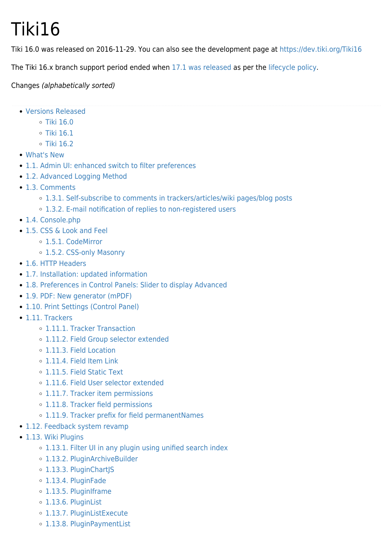# Tiki16

Tiki 16.0 was released on 2016-11-29. You can also see the development page at <https://dev.tiki.org/Tiki16>

The Tiki 16.x branch support period ended when [17.1 was released](https://tiki.org/article449-Security-and-bug-fix-updates-Tiki-17-1-Tiki-16-3-15-5-and-Tiki-12-12-released) as per the [lifecycle policy.](http://tiki.org/Versions)

#### Changes (alphabetically sorted)

- [Versions Released](#page--1-0)
	- $\circ$  [Tiki 16.0](#Tiki_16.0)
	- $\circ$  [Tiki 16.1](#Tiki_16.1)
	- [Tiki 16.2](#Tiki_16.2)
- [What's New](#page--1-0)
- [1.1. Admin UI: enhanced switch to filter preferences](#page--1-0)
- [1.2. Advanced Logging Method](#page--1-0)
- [1.3. Comments](#page--1-0)
	- [1.3.1. Self-subscribe to comments in trackers/articles/wiki pages/blog posts](#page--1-0)
	- [1.3.2. E-mail notification of replies to non-registered users](#page--1-0)
- [1.4. Console.php](#Console.php)
- [1.5. CSS & Look and Feel](#page--1-0)
	- [1.5.1. CodeMirror](#page--1-0)
	- o [1.5.2. CSS-only Masonry](#page--1-0)
- [1.6. HTTP Headers](#page--1-0)
- [1.7. Installation: updated information](#page--1-0)
- [1.8. Preferences in Control Panels: Slider to display Advanced](#page--1-0)
- [1.9. PDF: New generator \(mPDF\)](#page--1-0)
- [1.10. Print Settings \(Control Panel\)](#page--1-0)
- [1.11. Trackers](#page--1-0)
	- [1.11.1. Tracker Transaction](#page--1-0)
	- [1.11.2. Field Group selector extended](#page--1-0)
	- [1.11.3. Field Location](#page--1-0)
	- [1.11.4. Field Item Link](#page--1-0)
	- [1.11.5. Field Static Text](#page--1-0)
	- [1.11.6. Field User selector extended](#page--1-0)
	- [1.11.7. Tracker item permissions](#page--1-0)
	- o [1.11.8. Tracker field permissions](#page--1-0)
	- [1.11.9. Tracker prefix for field permanentNames](#page--1-0)
- [1.12. Feedback system revamp](#page--1-0)
- [1.13. Wiki Plugins](#page--1-0)
	- [1.13.1. Filter UI in any plugin using unified search index](#page--1-0)
	- [1.13.2. PluginArchiveBuilder](#page--1-0)
	- o [1.13.3. PluginChartJS](#page--1-0)
	- [1.13.4. PluginFade](#page--1-0)
	- o [1.13.5. PluginIframe](#page--1-0)
	- o [1.13.6. PluginList](#page--1-0)
	- o [1.13.7. PluginListExecute](#page--1-0)
	- [1.13.8. PluginPaymentList](#page--1-0)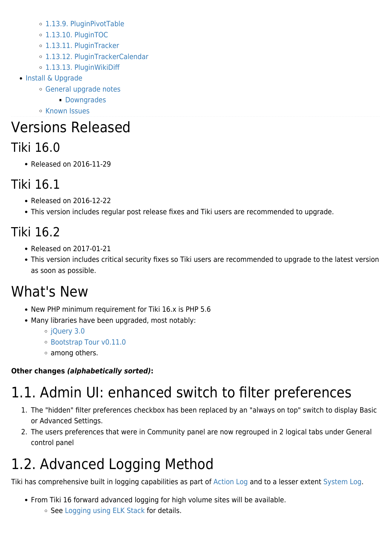- [1.13.9. PluginPivotTable](#page--1-0)
- [1.13.10. PluginTOC](#page--1-0)
- [1.13.11. PluginTracker](#page--1-0)
- [1.13.12. PluginTrackerCalendar](#page--1-0)
- o [1.13.13. PluginWikiDiff](#page--1-0)
- [Install & Upgrade](#page--1-0)
	- [General upgrade notes](#page--1-0)
		- **[Downgrades](#page--1-0)**
	- o [Known Issues](#page--1-0)

# Versions Released

### Tiki 16.0

Released on 2016-11-29

## Tiki 16.1

- Released on 2016-12-22
- This version includes regular post release fixes and Tiki users are recommended to upgrade.

## Tiki 16.2

- Released on 2017-01-21
- This version includes critical security fixes so Tiki users are recommended to upgrade to the latest version as soon as possible.

## What's New

- New PHP minimum requirement for Tiki 16.x is PHP 5.6
- Many libraries have been upgraded, most notably:
	- [jQuery 3.0](https://blog.jquery.com/2016/06/09/jquery-3-0-final-released/)
	- [Bootstrap Tour v0.11.0](http://bootstraptour.com/)
	- among others.

### **Other changes** *(alphabetically sorted)***:**

# 1.1. Admin UI: enhanced switch to filter preferences

- 1. The "hidden" filter preferences checkbox has been replaced by an "always on top" switch to display Basic or Advanced Settings.
- 2. The users preferences that were in Community panel are now regrouped in 2 logical tabs under General control panel

# 1.2. Advanced Logging Method

Tiki has comprehensive built in logging capabilities as part of [Action Log](https://doc.tiki.org/Action%20Log) and to a lesser extent [System Log](https://doc.tiki.org/System-Log).

- From Tiki 16 forward advanced logging for high volume sites will be available.
	- o See [Logging using ELK Stack](https://doc.tiki.org/Logging-using-ELK-Stack) for details.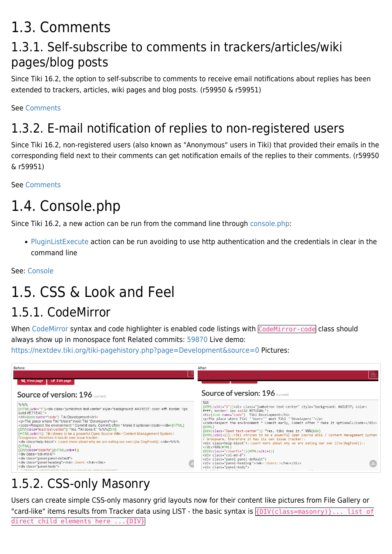## 1.3. Comments

### 1.3.1. Self-subscribe to comments in trackers/articles/wiki pages/blog posts

Since Tiki 16.2, the option to self-subscribe to comments to receive email notifications about replies has been extended to trackers, articles, wiki pages and blog posts. (r59950 & r59951)

See [Comments](https://doc.tiki.org/Comments)

## 1.3.2. E-mail notification of replies to non-registered users

Since Tiki 16.2, non-registered users (also known as "Anonymous" users in Tiki) that provided their emails in the corresponding field next to their comments can get notification emails of the replies to their comments. (r59950 & r59951)

See [Comments](https://doc.tiki.org/Comments)

## 1.4. Console.php

Since Tiki 16.2, a new action can be run from the command line through [console.php:](https://doc.tiki.org/Console)

[PluginListExecute](https://doc.tiki.org/PluginListExecute) action can be run avoiding to use http authentication and the credentials in clear in the command line

See: [Console](https://doc.tiki.org/Console)

## 1.5. CSS & Look and Feel

## 1.5.1. CodeMirror

When [CodeMirror](https://doc.tiki.org/CodeMirror) syntax and code highlighter is enabled code listings with CodeMirror-code class should always show up in monospace font Related commits: [59870](https://sourceforge.net/p/tikiwiki/code/59870) Live demo: <https://nextdev.tiki.org/tiki-pagehistory.php?page=Development&source=0>Pictures:



## 1.5.2. CSS-only Masonry

Users can create simple CSS-only masonry grid layouts now for their content like pictures from File Gallery or "card-like" items results from Tracker data using LIST - the basic syntax is {DIV(class=masonry)}... list of direct child elements here ...{DIV}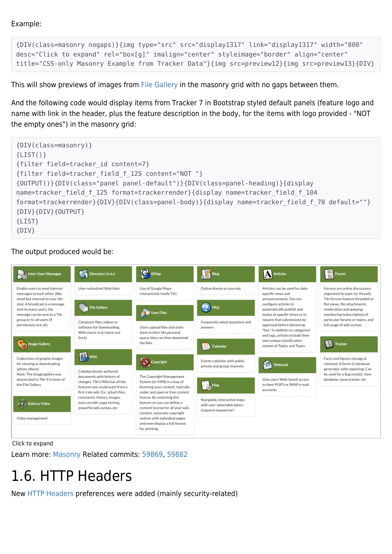Example:

{DIV(class=masonry nogaps)}{img type="src" src="display1317" link="display1317" width="800" desc="Click to expand" rel="box[g]" imalign="center" styleimage="border" align="center" title="CSS-only Masonry Example from Tracker Data"}{img src=preview12}{img src=preview13}{DIV}

This will show previews of images from [File Gallery](https://doc.tiki.org/File-Gallery) in the masonry grid with no gaps between them.

And the following code would display items from Tracker 7 in Bootstrap styled default panels (feature logo and name with link in the header, plus the feature description in the body, for the items with logo provided - "NOT the empty ones") in the masonry grid:



#### The output produced would be:



Click to expand

Learn more: [Masonry](https://doc.tiki.org/Masonry) Related commits: [59869](https://sourceforge.net/p/tikiwiki/code/59869), [59882](https://sourceforge.net/p/tikiwiki/code/59882)

## 1.6. HTTP Headers

New [HTTP Headers](https://doc.tiki.org/HTTP-Headers) preferences were added (mainly security-related)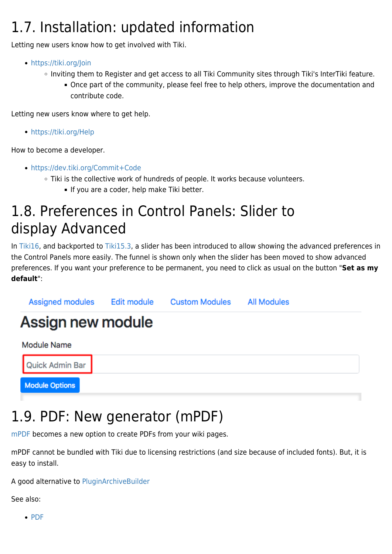## 1.7. Installation: updated information

Letting new users know how to get involved with Tiki.

- <https://tiki.org/Join>
	- o Inviting them to Register and get access to all Tiki Community sites through Tiki's InterTiki feature.
		- Once part of the community, please feel free to help others, improve the documentation and contribute code.

Letting new users know where to get help.

<https://tiki.org/Help>

How to become a developer.

- <https://dev.tiki.org/Commit+Code>
	- Tiki is the collective work of hundreds of people. It works because volunteers.
		- If you are a coder, help make Tiki better.

## 1.8. Preferences in Control Panels: Slider to display Advanced

In [Tiki16](https://doc.tiki.org/Tiki16), and backported to [Tiki15.3](https://doc.tiki.org/Tiki15), a slider has been introduced to allow showing the advanced preferences in the Control Panels more easily. The funnel is shown only when the slider has been moved to show advanced preferences. If you want your preference to be permanent, you need to click as usual on the button "**Set as my default**":



## 1.9. PDF: New generator (mPDF)

[mPDF](https://doc.tiki.org/mPDF) becomes a new option to create PDFs from your wiki pages.

mPDF cannot be bundled with Tiki due to licensing restrictions (and size because of included fonts). But, it is easy to install.

A good alternative to [PluginArchiveBuilder](https://doc.tiki.org/PluginArchiveBuilder)

See also:

 $\cdot$  [PDF](https://doc.tiki.org/PDF)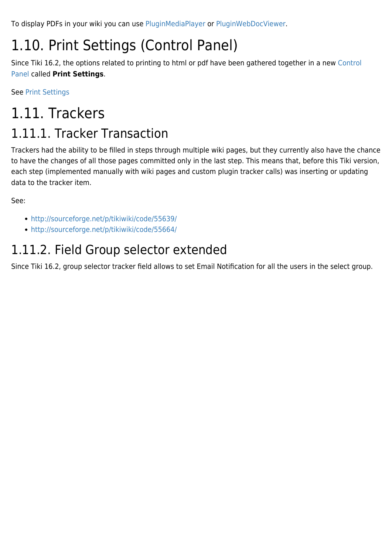To display PDFs in your wiki you can use [PluginMediaPlayer](https://doc.tiki.org/PluginMediaPlayer) or [PluginWebDocViewer.](https://doc.tiki.org/PluginWebDocViewer)

# 1.10. Print Settings (Control Panel)

Since Tiki 16.2, the options related to printing to html or pdf have been gathered together in a new [Control](https://doc.tiki.org/Control%20Panel) [Panel](https://doc.tiki.org/Control%20Panel) called **Print Settings**.

See [Print Settings](https://doc.tiki.org/Print-Settings)

## 1.11. Trackers 1.11.1. Tracker Transaction

Trackers had the ability to be filled in steps through multiple wiki pages, but they currently also have the chance to have the changes of all those pages committed only in the last step. This means that, before this Tiki version, each step (implemented manually with wiki pages and custom plugin tracker calls) was inserting or updating data to the tracker item.

See:

- <http://sourceforge.net/p/tikiwiki/code/55639/>
- <http://sourceforge.net/p/tikiwiki/code/55664/>

### 1.11.2. Field Group selector extended

Since Tiki 16.2, group selector tracker field allows to set Email Notification for all the users in the select group.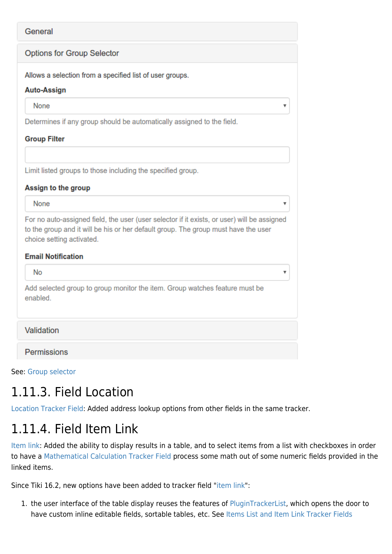### General **Options for Group Selector** Allows a selection from a specified list of user groups. **Auto-Assign** None ¥ Determines if any group should be automatically assigned to the field. **Group Filter** Limit listed groups to those including the specified group. Assign to the group None  $\overline{\mathbf{v}}$ For no auto-assigned field, the user (user selector if it exists, or user) will be assigned to the group and it will be his or her default group. The group must have the user choice setting activated. **Email Notification No** v Add selected group to group monitor the item. Group watches feature must be enabled. Validation

See: [Group selector](https://doc.tiki.org/Group-selector)

**Permissions** 

## 1.11.3. Field Location

[Location Tracker Field](https://doc.tiki.org/Location-Tracker-Field): Added address lookup options from other fields in the same tracker.

## 1.11.4. Field Item Link

[Item link](https://doc.tiki.org/Items-List-and-Item-Link-Tracker-Fields): Added the ability to display results in a table, and to select items from a list with checkboxes in order to have a [Mathematical Calculation Tracker Field](https://doc.tiki.org/Mathematical-Calculation-Tracker-Field) process some math out of some numeric fields provided in the linked items.

Since Tiki 16.2, new options have been added to tracker field ["item link](https://doc.tiki.org/Items-List-and-Item-Link-Tracker-Fields)":

1. the user interface of the table display reuses the features of [PluginTrackerList](https://doc.tiki.org/PluginTrackerList), which opens the door to have custom inline editable fields, sortable tables, etc. See [Items List and Item Link Tracker Fields](https://doc.tiki.org/Items-List-and-Item-Link-Tracker-Fields)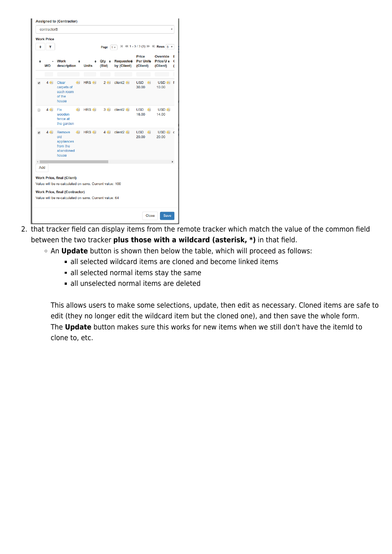|                      | contractorB            |                                                                                                                                                                                                 |                  |                              |                                 |                                                       | ۰                                        |
|----------------------|------------------------|-------------------------------------------------------------------------------------------------------------------------------------------------------------------------------------------------|------------------|------------------------------|---------------------------------|-------------------------------------------------------|------------------------------------------|
| ٠                    | <b>Work Price</b><br>۳ |                                                                                                                                                                                                 |                  | Page<br>1 <sub>v</sub>       |                                 | $ $ 44 1 - 3/3 (3) $ $ + $ $ Rows $ $ 5 $\rightarrow$ |                                          |
|                      | <b>WO</b>              | <b>Work</b><br>description                                                                                                                                                                      | <b>Units</b>     | $Qty \cdot \bullet$<br>(Bid) | <b>Requested</b><br>by (Client) | Price<br><b>Per Unite</b><br>(Client)                 | <b>Override</b><br>Price/U e<br>(Client) |
| ᢦ                    | m<br>$4 \n\infty$      | Clear<br>carpets of<br>each room<br>of the<br>house                                                                                                                                             | HRS 4            | $2 \n\infty$                 | client <sub>2</sub>             | <b>USD</b><br>4<br>30.00                              | USD <sup>4</sup><br>10.00                |
| $\Box$               | $4 \n\equiv 1$         | Fix<br>wooden<br>fence at<br>the garden                                                                                                                                                         | HRS <sup>4</sup> | 3個                           | client <sub>2</sub>             | <b>USD</b><br>4引<br>16.00                             | USD <sup>4</sup><br>14.00                |
| $\blacktriangledown$ | 4 侧                    | Remove<br>old<br>appliances<br>from the<br>abandoned<br>house                                                                                                                                   | <b>HRS &amp;</b> | 4(5)                         | client <sub>2</sub>             | USD <b>4</b><br>20.00                                 | USD <sup>4</sup><br>20.00                |
| Add                  |                        | <b>Work Price, final (Client)</b><br>Value will be re-calculated on save. Current value: 100<br><b>Work Price, final (Contractor)</b><br>Value will be re-calculated on save. Current value: 64 |                  |                              |                                 |                                                       |                                          |

- 2. that tracker field can display items from the remote tracker which match the value of the common field between the two tracker **plus those with a wildcard (asterisk, \*)** in that field.
	- An **Update** button is shown then below the table, which will proceed as follows:
		- all selected wildcard items are cloned and become linked items
		- all selected normal items stay the same
		- all unselected normal items are deleted

This allows users to make some selections, update, then edit as necessary. Cloned items are safe to edit (they no longer edit the wildcard item but the cloned one), and then save the whole form. The **Update** button makes sure this works for new items when we still don't have the itemId to clone to, etc.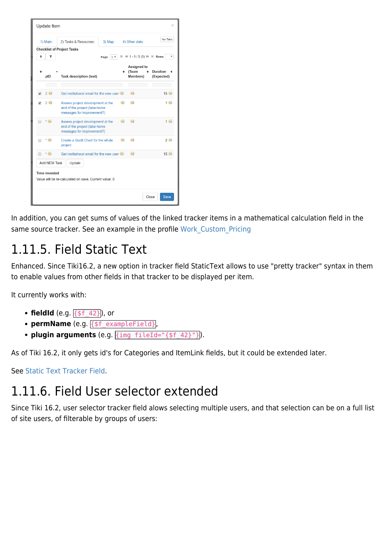

In addition, you can get sums of values of the linked tracker items in a mathematical calculation field in the same source tracker. See an example in the profile Work Custom Pricing

## 1.11.5. Field Static Text

Enhanced. Since Tiki16.2, a new option in tracker field StaticText allows to use "pretty tracker" syntax in them to enable values from other fields in that tracker to be displayed per item.

It currently works with:

- **fieldId** (e.g.  $\{ $f \ 42\}$ ), or
- **permName** (e.g. {\$f\_exampleField},
- **plugin arguments** (e.g. *{img fileId="{\$f 42}"})*.

As of Tiki 16.2, it only gets id's for Categories and ItemLink fields, but it could be extended later.

See [Static Text Tracker Field](https://doc.tiki.org/Static-Text-Tracker-Field).

### 1.11.6. Field User selector extended

Since Tiki 16.2, user selector tracker field alows selecting multiple users, and that selection can be on a full list of site users, of filterable by groups of users: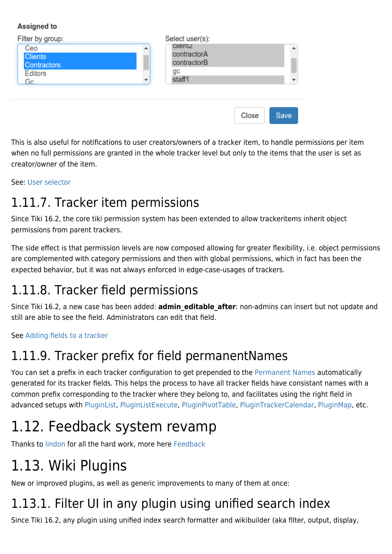#### **Assigned to**

| Filter by group:                                             | Select user(s):                                                        |  |
|--------------------------------------------------------------|------------------------------------------------------------------------|--|
| Ceo<br><b>Clients</b><br><b>Contractors</b><br>Editors<br>Gc | <b>Clientz</b><br>▲<br>contractorA<br>contractorB<br>gс<br>staff1<br>▼ |  |
|                                                              |                                                                        |  |

This is also useful for notifications to user creators/owners of a tracker item, to handle permissions per item when no full permissions are granted in the whole tracker level but only to the items that the user is set as creator/owner of the item.

Save

Close

See: [User selector](https://doc.tiki.org/User-selector)

### 1.11.7. Tracker item permissions

Since Tiki 16.2, the core tiki permission system has been extended to allow trackeritems inherit object permissions from parent trackers.

The side effect is that permission levels are now composed allowing for greater flexibility, i.e. object permissions are complemented with category permissions and then with global permissions, which in fact has been the expected behavior, but it was not always enforced in edge-case-usages of trackers.

## 1.11.8. Tracker field permissions

Since Tiki 16.2, a new case has been added: **admin\_editable\_after**: non-admins can insert but not update and still are able to see the field. Administrators can edit that field.

See [Adding fields to a tracker](https://doc.tiki.org/Adding-fields-to-a-tracker)

### 1.11.9. Tracker prefix for field permanentNames

You can set a prefix in each tracker configuration to get prepended to the [Permanent Names](https://doc.tiki.org/Permanent-Names) automatically generated for its tracker fields. This helps the process to have all tracker fields have consistant names with a common prefix corresponding to the tracker where they belong to, and facilitates using the right field in advanced setups with [PluginList](https://doc.tiki.org/PluginList), [PluginListExecute](https://doc.tiki.org/PluginListExecute), [PluginPivotTable](https://doc.tiki.org/PluginPivotTable), [PluginTrackerCalendar,](https://doc.tiki.org/PluginTrackerCalendar) [PluginMap](https://doc.tiki.org/PluginMap), etc.

## 1.12. Feedback system revamp

Thanks to [lindon](https://doc.tiki.org/user11970) for all the hard work, more here [Feedback](http://dev.tiki.org/Feedback)

## 1.13. Wiki Plugins

New or improved plugins, as well as generic improvements to many of them at once:

## 1.13.1. Filter UI in any plugin using unified search index

Since Tiki 16.2, any plugin using unified index search formatter and wikibuilder (aka filter, output, display,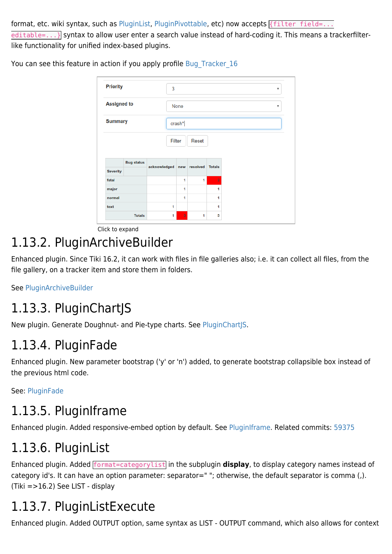format, etc. wiki syntax, such as [PluginList](https://doc.tiki.org/PluginList), [PluginPivottable,](https://doc.tiki.org/PluginPivotTable) etc) now accepts {filter field=... editable=...} syntax to allow user enter a search value instead of hard-coding it. This means a trackerfilterlike functionality for unified index-based plugins.

| <b>Priority</b>                                     |                   | 3                                | $\boldsymbol{\mathrm{v}}$<br>None<br>$\boldsymbol{\mathrm{v}}$ |   |                |  |  |  |  |  |  |
|-----------------------------------------------------|-------------------|----------------------------------|----------------------------------------------------------------|---|----------------|--|--|--|--|--|--|
| <b>Assigned to</b>                                  |                   |                                  |                                                                |   |                |  |  |  |  |  |  |
| <b>Summary</b>                                      |                   |                                  | crash*                                                         |   |                |  |  |  |  |  |  |
|                                                     |                   |                                  | Filter<br><b>Reset</b>                                         |   |                |  |  |  |  |  |  |
|                                                     |                   |                                  |                                                                |   |                |  |  |  |  |  |  |
|                                                     | <b>Bug status</b> |                                  |                                                                |   |                |  |  |  |  |  |  |
|                                                     |                   | acknowledged new resolved Totals |                                                                |   |                |  |  |  |  |  |  |
|                                                     |                   |                                  | 1                                                              | 1 | $\overline{2}$ |  |  |  |  |  |  |
|                                                     |                   |                                  | 1                                                              |   | 1              |  |  |  |  |  |  |
|                                                     |                   |                                  | 1                                                              |   | 1              |  |  |  |  |  |  |
| <b>Severity</b><br>fatal<br>major<br>normal<br>text |                   | 1                                |                                                                |   | 1              |  |  |  |  |  |  |

You can see this feature in action if you apply profile Bug Tracker 16

Click to expand

## 1.13.2. PluginArchiveBuilder

Enhanced plugin. Since Tiki 16.2, it can work with files in file galleries also; i.e. it can collect all files, from the file gallery, on a tracker item and store them in folders.

See [PluginArchiveBuilder](https://doc.tiki.org/PluginArchiveBuilder)

### 1.13.3. PluginChartJS

New plugin. Generate Doughnut- and Pie-type charts. See [PluginChartJS.](https://doc.tiki.org/PluginChartJS)

### 1.13.4. PluginFade

Enhanced plugin. New parameter bootstrap ('y' or 'n') added, to generate bootstrap collapsible box instead of the previous html code.

See: [PluginFade](https://doc.tiki.org/PluginFade)

## 1.13.5. PluginIframe

Enhanced plugin. Added responsive-embed option by default. See [PluginIframe.](https://doc.tiki.org/PluginIframe) Related commits: [59375](https://sourceforge.net/p/tikiwiki/code/59375)

### 1.13.6. PluginList

Enhanced plugin. Added format=categorylist in the subplugin **display**, to display category names instead of category id's. It can have an option parameter: separator=" "; otherwise, the default separator is comma (,). (Tiki =>16.2) See [LIST - display](https://doc.tiki.org/tiki-editpage.php?page=LIST+-+display)

## 1.13.7. PluginListExecute

Enhanced plugin. Added OUTPUT option, same syntax as [LIST - OUTPUT command](https://doc.tiki.org/tiki-editpage.php?page=LIST+-+OUTPUT+command), which also allows for context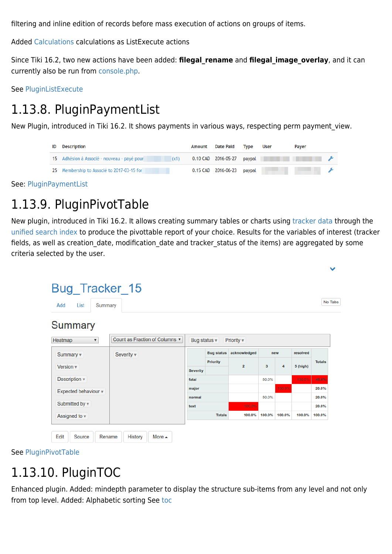filtering and inline edition of records before mass execution of actions on groups of items.

Added [Calculations](https://doc.tiki.org/Calculations) calculations as ListExecute actions

Since Tiki 16.2, two new actions have been added: **filegal\_rename** and **filegal\_image\_overlay**, and it can currently also be run from [console.php.](https://doc.tiki.org/Console)

See [PluginListExecute](https://doc.tiki.org/PluginListExecute)

## 1.13.8. PluginPaymentList

New Plugin, introduced in Tiki 16.2. It shows payments in various ways, respecting perm payment\_view.

| <b>ID</b> Description                               | Amount Date Paid Type      | User | <b>Paver</b>                                                                                                   |  |
|-----------------------------------------------------|----------------------------|------|----------------------------------------------------------------------------------------------------------------|--|
| 15 Adhésion à Associé - nouveau - payé pour<br>(x1) |                            |      | 0.10 CAD 2016-05-27 paypal and the contract of the contract of the contract of the contract of the contract of |  |
| 25 Membership to Associé to 2017-03-15 for          | 0.15 CAD 2016-06-23 paypal | ____ |                                                                                                                |  |

See: [PluginPaymentList](https://doc.tiki.org/PluginPaymentList)

## 1.13.9. PluginPivotTable

New plugin, introduced in Tiki 16.2. It allows creating summary tables or charts using [tracker data](https://doc.tiki.org/Trackers) through the [unified search index](https://doc.tiki.org/Search-and-List-from-Unified-Index) to produce the pivottable report of your choice. Results for the variables of interest (tracker fields, as well as creation date, modification date and tracker status of the items) are aggregated by some criteria selected by the user.

| Add<br>List<br>Summary             |                                |                         |                   |                       |        |                   |            | No Tabs       |
|------------------------------------|--------------------------------|-------------------------|-------------------|-----------------------|--------|-------------------|------------|---------------|
| <b>Summary</b>                     |                                |                         |                   |                       |        |                   |            |               |
| Heatmap<br>$\overline{\mathbf{v}}$ | Count as Fraction of Columns ▼ | Bug status $\mathbf{v}$ |                   | Priority $\mathbf{v}$ |        |                   |            |               |
| Summary v                          | Severity v                     |                         | <b>Bug status</b> | acknowledged<br>new   |        |                   |            | resolved      |
|                                    |                                |                         | <b>Priority</b>   | $\overline{2}$        |        | $\mathbf{3}$<br>4 |            | <b>Totals</b> |
| Version $\mathbf{\overline{v}}$    |                                | <b>Severity</b>         |                   |                       |        |                   | $5$ (high) |               |
| Description v                      |                                | fatal                   |                   |                       | 50.0%  |                   | 100.0%     | 40.0%         |
| Expected behaviour v               |                                | major                   |                   |                       |        | 100.0%            |            | 20.0%         |
|                                    |                                | normal                  |                   |                       | 50.0%  |                   |            | 20.0%         |
| Submitted by v                     |                                | text                    |                   | 100.0%                |        |                   |            | 20.0%         |
| Assigned to $\mathbf{\mathbf{v}}$  |                                |                         | <b>Totals</b>     | 100.0%                | 100.0% | 100.0%            | 100.0%     | 100.0%        |

See [PluginPivotTable](https://doc.tiki.org/PluginPivotTable)

### 1.13.10. PluginTOC

Enhanced plugin. Added: mindepth parameter to display the structure sub-items from any level and not only from top level. Added: Alphabetic sorting See [toc](https://doc.tiki.org/TOC)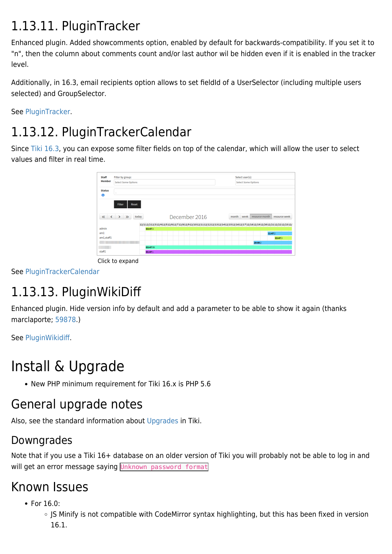## 1.13.11. PluginTracker

Enhanced plugin. Added showcomments option, enabled by default for backwards-compatibility. If you set it to "n", then the column about comments count and/or last author wil be hidden even if it is enabled in the tracker level.

Additionally, in 16.3, email recipients option allows to set fieldId of a UserSelector (including multiple users selected) and GroupSelector.

See [PluginTracker.](https://doc.tiki.org/PluginTracker)

## 1.13.12. PluginTrackerCalendar

Since [Tiki 16.3,](https://doc.tiki.org/Tiki16) you can expose some filter fields on top of the calendar, which will allow the user to select values and filter in real time.

| <b>Staff</b>  | Filter by group:<br><b>Select Some Options</b>                                                                                                      |                                                  |  |  |  |  |  | Select user(s):            |               |  |        |        |                                                                                                               |  |
|---------------|-----------------------------------------------------------------------------------------------------------------------------------------------------|--------------------------------------------------|--|--|--|--|--|----------------------------|---------------|--|--------|--------|---------------------------------------------------------------------------------------------------------------|--|
| <b>Member</b> |                                                                                                                                                     |                                                  |  |  |  |  |  | <b>Select Some Options</b> |               |  |        |        |                                                                                                               |  |
| <b>Status</b> | $\sim$                                                                                                                                              |                                                  |  |  |  |  |  |                            |               |  |        |        |                                                                                                               |  |
| $\bullet$     |                                                                                                                                                     |                                                  |  |  |  |  |  |                            |               |  |        |        |                                                                                                               |  |
|               | Filter<br><b>Reset</b>                                                                                                                              |                                                  |  |  |  |  |  |                            |               |  |        |        |                                                                                                               |  |
|               | $\begin{array}{ccccccc}\n\left\langle \left\langle \quad & \right\rangle & \right\rangle & \left\langle \quad \right\rangle & \end{array}$<br>today | December 2016<br>week<br>resource month<br>month |  |  |  |  |  |                            | resource week |  |        |        |                                                                                                               |  |
|               |                                                                                                                                                     |                                                  |  |  |  |  |  |                            |               |  |        |        | 12/112/212/312/412/512/612/712/812/912/1012/1112/1212/1312/1412/1512/1612/1712/1812/1912/2012/2112/2212/2312/ |  |
| admin         |                                                                                                                                                     | 03:473                                           |  |  |  |  |  |                            |               |  |        |        |                                                                                                               |  |
| am1           |                                                                                                                                                     |                                                  |  |  |  |  |  |                            |               |  |        | 11:472 |                                                                                                               |  |
| am1,staff1    |                                                                                                                                                     |                                                  |  |  |  |  |  |                            |               |  |        |        | 03:473                                                                                                        |  |
|               |                                                                                                                                                     |                                                  |  |  |  |  |  |                            |               |  | 20:002 |        |                                                                                                               |  |
|               |                                                                                                                                                     | 03:4799                                          |  |  |  |  |  |                            |               |  |        |        |                                                                                                               |  |
| staff1        |                                                                                                                                                     | 01:471                                           |  |  |  |  |  |                            |               |  |        |        |                                                                                                               |  |

Click to expand

See [PluginTrackerCalendar](https://doc.tiki.org/PluginTrackerCalendar)

## 1.13.13. PluginWikiDiff

Enhanced plugin. Hide version info by default and add a parameter to be able to show it again (thanks marclaporte; [59878](https://sourceforge.net/p/tikiwiki/code/59878).)

See [PluginWikidiff.](https://doc.tiki.org/PluginWikidiff)

## Install & Upgrade

• New PHP minimum requirement for Tiki 16.x is PHP 5.6

### General upgrade notes

Also, see the standard information about [Upgrades](https://doc.tiki.org/Upgrade) in Tiki.

### Downgrades

Note that if you use a Tiki 16+ database on an older version of Tiki you will probably not be able to log in and will get an error message saying Unknown password format

### Known Issues

• For 16.0:

○ JS Minify is not compatible with CodeMirror syntax highlighting, but this has been fixed in version 16.1.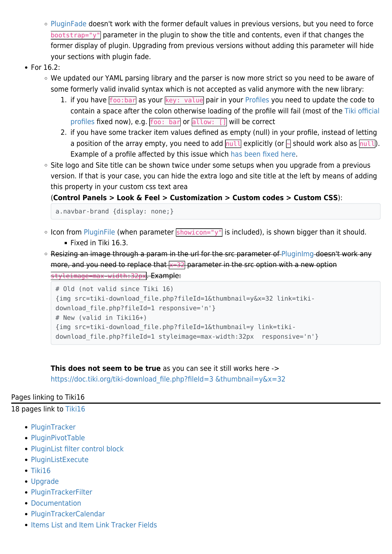- [PluginFade](https://doc.tiki.org/PluginFade) doesn't work with the former default values in previous versions, but you need to force bootstrap="y" parameter in the plugin to show the title and contents, even if that changes the former display of plugin. Upgrading from previous versions without adding this parameter will hide your sections with plugin fade.
- For 16.2:
	- We updated our YAML parsing library and the parser is now more strict so you need to be aware of some formerly valid invalid syntax which is not accepted as valid anymore with the new library:
		- 1. if you have foo:bar as your key: value pair in your [Profiles](https://doc.tiki.org/Profiles) you need to update the code to contain a space after the colon otherwise loading of the profile will fail (most of the [Tiki official](https://profiles.tiki.org) [profiles](https://profiles.tiki.org) fixed now), e.g.  $foo: bar$  or  $altow: []$  will be correct
		- 2. if you have some tracker item values defined as empty (null) in your profile, instead of letting a position of the array empty, you need to add  $\sqrt{nu11}$  explicitly (or  $\frac{1}{2}$  should work also as  $\sqrt{nu11}$ ). Example of a profile affected by this issue which [has been fixed here](https://profiles.tiki.org/tiki-pagehistory.php?page=Execute+on+List&history_offset=1&diff_style=sidediff&diff_style=sidediff&show_all_versions=y&compare=Compare&newver=0&oldver=22&tra_lang=sq&paginate=on&history_pagesize=25).
	- Site logo and Site title can be shown twice under some setups when you upgrade from a previous version. If that is your case, you can hide the extra logo and site title at the left by means of adding this property in your custom css text area

(**Control Panels > Look & Feel > Customization > Custom codes > Custom CSS**):

a.navbar-brand {display: none;}

- $\circ$  Icon from [PluginFile](https://doc.tiki.org/PluginFile) (when parameter showicon="y" is included), is shown bigger than it should. Fixed in Tiki 16.3.
- o Resizing an image through a param in the url for the src parameter of [PluginImg](https://doc.tiki.org/PluginImg) doesn't work any more, and you need to replace that  $x=32$  parameter in the src option with a new option styleimage=max-width:32px. Example:

```
# Old (not valid since Tiki 16)
{img src=tiki-download_file.php?fileId=1&thumbnail=y&x=32 link=tiki-
download file.php?fileId=1 responsive='n'}
# New (valid in Tiki16+)
{img src=tiki-download_file.php?fileId=1&thumbnail=y link=tiki-
download_file.php?fileId=1 styleimage=max-width:32px responsive='n'}
```
**This does not seem to be true** as you can see it still works here -> [https://doc.tiki.org/tiki-download\\_file.php?fileId=3 &thumbnail=y&x=32](https://doc.tiki.org/tiki-download_file.php?fileId=3%09&thumbnail=y&x=32)

#### Pages linking to Tiki16

18 pages link to [Tiki16](https://doc.tiki.org/Tiki16)

- [PluginTracker](https://doc.tiki.org/PluginTracker)
- [PluginPivotTable](https://doc.tiki.org/PluginPivotTable)
- [PluginList filter control block](https://doc.tiki.org/PluginList-filter-control-block)
- [PluginListExecute](https://doc.tiki.org/PluginListExecute)
- $\bullet$  [Tiki16](https://doc.tiki.org/Tiki16)
- [Upgrade](https://doc.tiki.org/Upgrade)
- [PluginTrackerFilter](https://doc.tiki.org/PluginTrackerFilter)
- [Documentation](https://doc.tiki.org/Documentation)
- [PluginTrackerCalendar](https://doc.tiki.org/PluginTrackerCalendar)
- [Items List and Item Link Tracker Fields](https://doc.tiki.org/Items-List-and-Item-Link-Tracker-Fields)